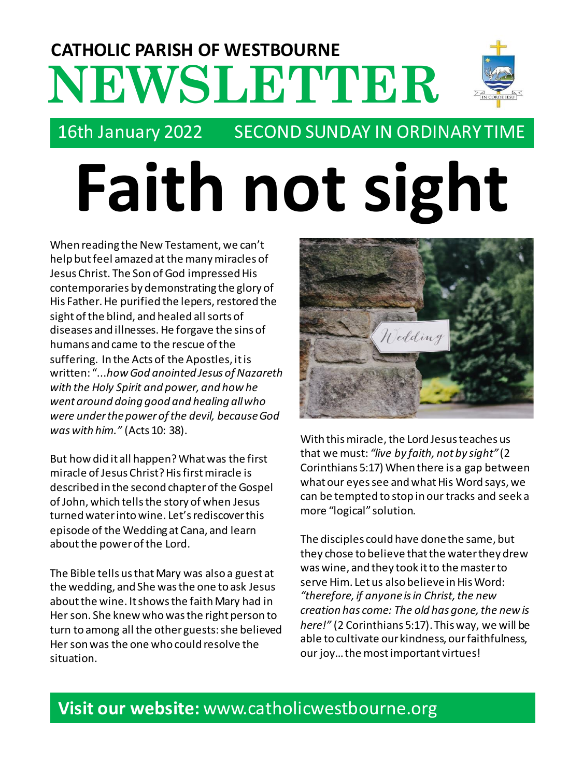# **NEWSLETTER CATHOLIC PARISH OF WESTBOURNE**



# 16th January 2022 SECOND SUNDAY IN ORDINARY TIME

# **Faith not sight**

When reading the New Testament, we can't help but feel amazed at the many miracles of Jesus Christ. The Son of God impressed His contemporaries by demonstrating the glory of His Father. He purified the lepers, restored the sight of the blind, and healed all sorts of diseases and illnesses. He forgave the sins of humans and came to the rescue of the suffering. In the Acts of the Apostles, it is written: "...*how God anointed Jesus of Nazareth with the Holy Spirit and power, and how he went around doing good and healing all who were under the power of the devil, because God was with him."* (Acts 10: 38).

But how did it all happen? What was the first miracle of Jesus Christ?His first miracle is described in the second chapter of the Gospel of John, which tells the story of when Jesus turned water into wine. Let's rediscover this episode of the Wedding at Cana, and learn about the power of the Lord.

The Bible tells us that Mary was also a guest at the wedding, and She was the one to ask Jesus about the wine. It shows the faith Mary had in Her son. She knew who was the right person to turn to among all the other guests: she believed Her son was the one who could resolve the situation.



With this miracle, the Lord Jesus teaches us that we must: *"live by faith, not by sight"* (2 Corinthians 5:17) When there is a gap between what our eyes see and what His Word says, we can be tempted to stop in our tracks and seek a more "logical" solution.

The disciples could have done the same, but they chose to believe that the water they drew was wine, and they took it to the master to serve Him. Let us also believe in His Word: *"therefore, if anyone is in Christ, the new creation has come: The old has gone, the new is here!"* (2 Corinthians 5:17). This way, we will be able to cultivate our kindness, our faithfulness, our joy… the most important virtues!

# **Visit our website:** www.catholicwestbourne.org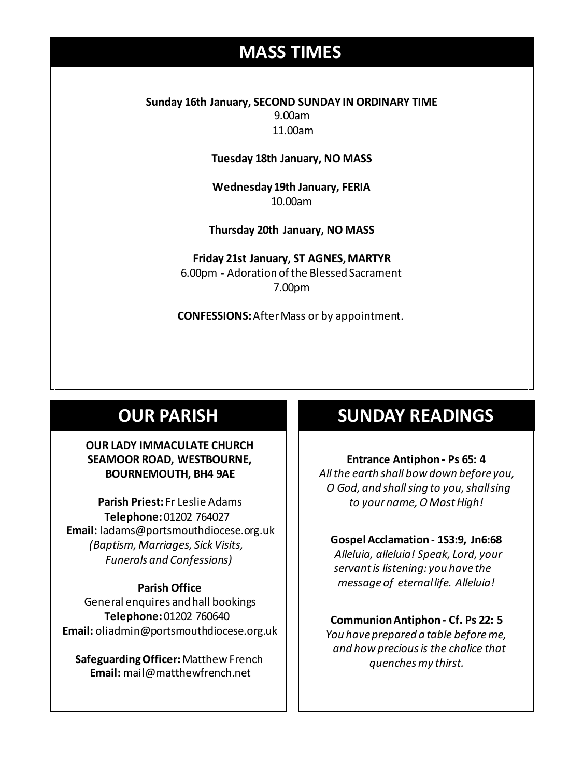# **MASS TIMES**

**Sunday 16th January, SECOND SUNDAY IN ORDINARY TIME** 9.00am 11.00am

**Tuesday 18th January, NO MASS**

**Wednesday 19th January, FERIA** 10.00am

**Wednesday 14th** *Repose of the souls of Bernard Charles and Elsie May Pratt* **Thursday 20th January, NO MASS Saturday 16th** *Rosemarie Schofield RIP*

**Sunday 18th 11am** *The Parish*  **Friday 21st January, ST AGNES, MARTYR** 6.00pm **-** Adoration of the Blessed Sacrament 7.00pm

**CONFESSIONS:**After Mass or by appointment.

### **OUR PARISH**

#### **OUR LADY IMMACULATE CHURCH SEAMOOR ROAD, WESTBOURNE, BOURNEMOUTH, BH4 9AE**

**Parish Priest:** Fr Leslie Adams **Telephone:**01202 764027 **Email:** ladams@portsmouthdiocese.org.uk *(Baptism, Marriages, Sick Visits, Funerals and Confessions)*

#### **Parish Office**

General enquires andhall bookings **Telephone:**01202 760640 **Email:** oliadmin@portsmouthdiocese.org.uk

**Safeguarding Officer:** Matthew French **Email:** mail@matthewfrench.net

## **SUNDAY READINGS**

**Entrance Antiphon - Ps 65: 4** *All the earth shall bow down before you, O God, and shall sing to you, shall sing to your name, O Most High!* 

**Gospel Acclamation** - **1S3:9, Jn6:68** *Alleluia, alleluia! Speak, Lord, your servant is listening: you have the message of eternal life. Alleluia!*

#### **Communion Antiphon - Cf. Ps 22: 5**

*You have prepared a table before me, and how precious is the chalice that quenches my thirst.*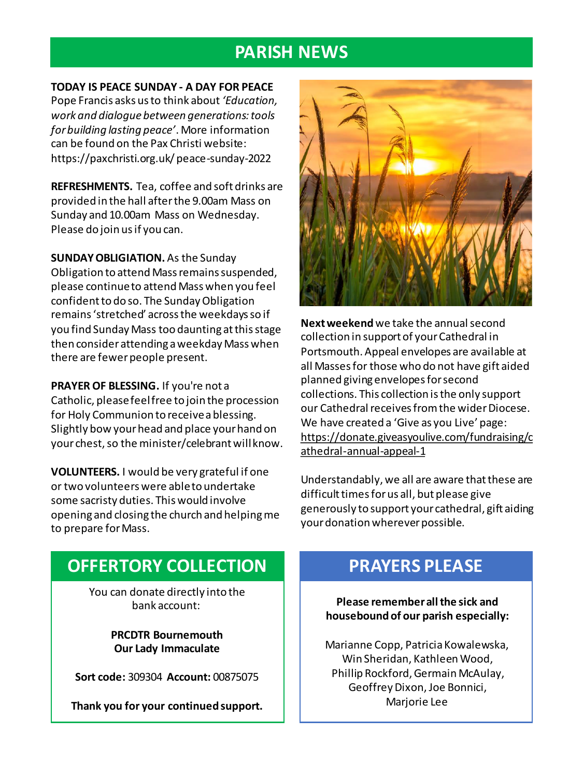## **PARISH NEWS**

**TODAY IS PEACE SUNDAY - A DAY FOR PEACE** Pope Francis asks us to think about *'Education, work and dialogue between generations: tools for building lasting peace'*. More information can be found on the Pax Christi website: https://paxchristi.org.uk/ peace-sunday-2022

**REFRESHMENTS.** Tea, coffee and soft drinks are provided in the hall after the 9.00am Mass on Sunday and 10.00am Mass on Wednesday. Please do join us if you can.

**SUNDAY OBLIGIATION.** As the Sunday Obligation to attend Mass remains suspended, please continue to attend Mass when you feel confident to do so. The Sunday Obligation remains 'stretched' across the weekdays so if you find Sunday Mass too daunting at this stage then consider attending a weekday Mass when there are fewer people present.

**PRAYER OF BLESSING.** If you're not a Catholic, please feel free to join the procession for Holy Communion to receive a blessing. Slightly bow your head and place your hand on your chest, so the minister/celebrant will know.

**VOLUNTEERS.** I would be very grateful if one or two volunteers were able to undertake some sacristy duties. This would involve opening and closing the church and helping me to prepare for Mass.



**Next weekend**we take the annual second collection in support of your Cathedral in Portsmouth. Appeal envelopes are available at all Masses for those who do not have gift aided planned giving envelopes for second collections. This collection is the only support our Cathedral receives from the wider Diocese. We have created a 'Give as you Live' page: https://donate.giveasyoulive.com/fundraising/c athedral-annual-appeal-1

Understandably, we all are aware that these are difficult times for us all, but please give generously to support your cathedral, gift aiding your donation wherever possible.

# **OFFERTORY COLLECTION**

You can donate directly into the bank account:

> **PRCDTR Bournemouth Our Lady Immaculate**

**Sort code:** 309304 **Account:** 00875075

**Thank you for your continued support.**

# **PRAYERS PLEASE**

**Please remember all the sick and housebound of our parish especially:**

Marianne Copp, Patricia Kowalewska, Win Sheridan, Kathleen Wood, Phillip Rockford, Germain McAulay, Geoffrey Dixon, Joe Bonnici, Marjorie Lee